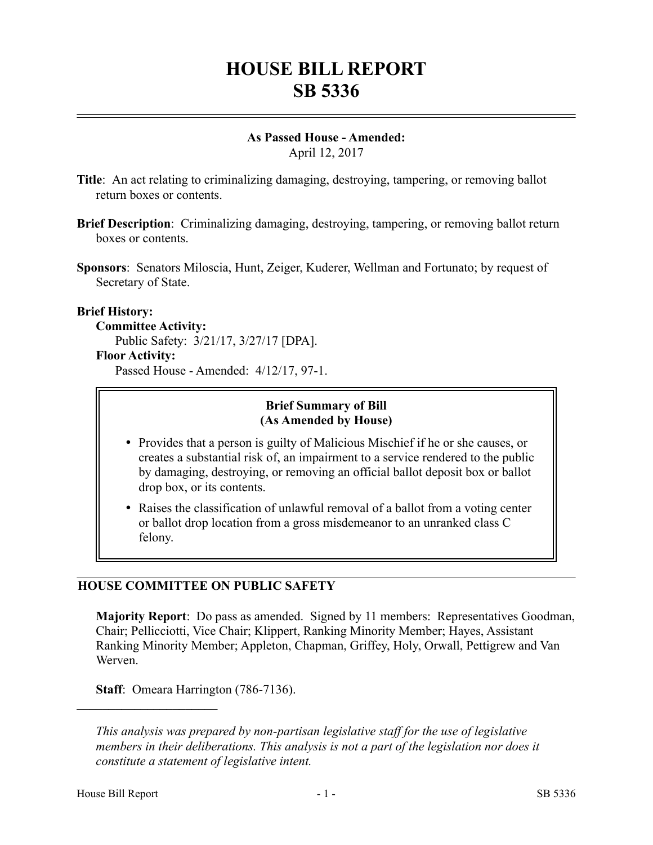# **HOUSE BILL REPORT SB 5336**

# **As Passed House - Amended:**

April 12, 2017

- **Title**: An act relating to criminalizing damaging, destroying, tampering, or removing ballot return boxes or contents.
- **Brief Description**: Criminalizing damaging, destroying, tampering, or removing ballot return boxes or contents.
- **Sponsors**: Senators Miloscia, Hunt, Zeiger, Kuderer, Wellman and Fortunato; by request of Secretary of State.

# **Brief History:**

#### **Committee Activity:**

Public Safety: 3/21/17, 3/27/17 [DPA].

#### **Floor Activity:**

Passed House - Amended: 4/12/17, 97-1.

#### **Brief Summary of Bill (As Amended by House)**

- Provides that a person is guilty of Malicious Mischief if he or she causes, or creates a substantial risk of, an impairment to a service rendered to the public by damaging, destroying, or removing an official ballot deposit box or ballot drop box, or its contents.
- Raises the classification of unlawful removal of a ballot from a voting center or ballot drop location from a gross misdemeanor to an unranked class C felony.

# **HOUSE COMMITTEE ON PUBLIC SAFETY**

**Majority Report**: Do pass as amended. Signed by 11 members: Representatives Goodman, Chair; Pellicciotti, Vice Chair; Klippert, Ranking Minority Member; Hayes, Assistant Ranking Minority Member; Appleton, Chapman, Griffey, Holy, Orwall, Pettigrew and Van Werven.

**Staff**: Omeara Harrington (786-7136).

––––––––––––––––––––––

*This analysis was prepared by non-partisan legislative staff for the use of legislative members in their deliberations. This analysis is not a part of the legislation nor does it constitute a statement of legislative intent.*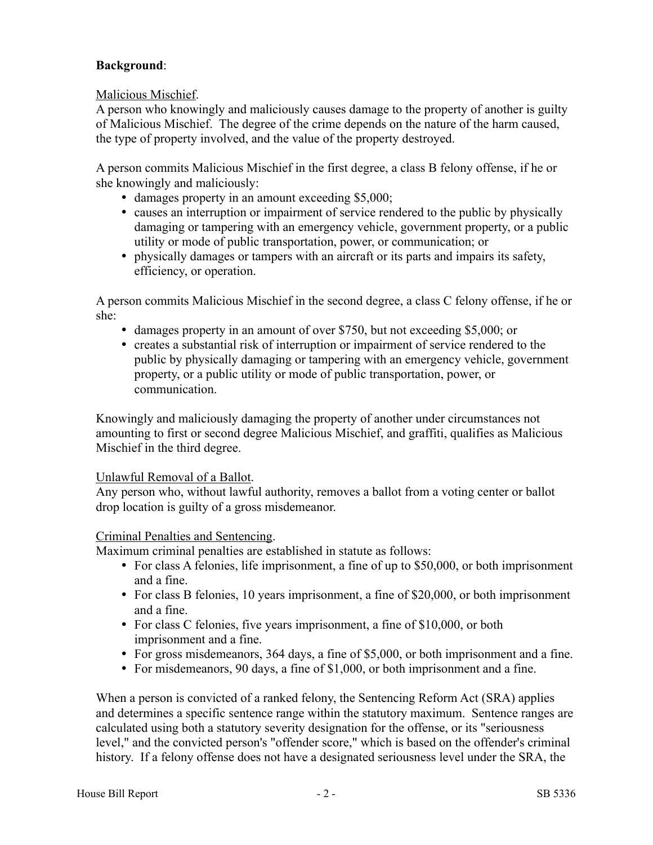# **Background**:

Malicious Mischief.

A person who knowingly and maliciously causes damage to the property of another is guilty of Malicious Mischief. The degree of the crime depends on the nature of the harm caused, the type of property involved, and the value of the property destroyed.

A person commits Malicious Mischief in the first degree, a class B felony offense, if he or she knowingly and maliciously:

- damages property in an amount exceeding \$5,000;
- causes an interruption or impairment of service rendered to the public by physically damaging or tampering with an emergency vehicle, government property, or a public utility or mode of public transportation, power, or communication; or
- physically damages or tampers with an aircraft or its parts and impairs its safety, efficiency, or operation.

A person commits Malicious Mischief in the second degree, a class C felony offense, if he or she:

- damages property in an amount of over \$750, but not exceeding \$5,000; or
- creates a substantial risk of interruption or impairment of service rendered to the public by physically damaging or tampering with an emergency vehicle, government property, or a public utility or mode of public transportation, power, or communication.

Knowingly and maliciously damaging the property of another under circumstances not amounting to first or second degree Malicious Mischief, and graffiti, qualifies as Malicious Mischief in the third degree.

# Unlawful Removal of a Ballot.

Any person who, without lawful authority, removes a ballot from a voting center or ballot drop location is guilty of a gross misdemeanor.

# Criminal Penalties and Sentencing.

Maximum criminal penalties are established in statute as follows:

- For class A felonies, life imprisonment, a fine of up to \$50,000, or both imprisonment and a fine.
- For class B felonies, 10 years imprisonment, a fine of \$20,000, or both imprisonment and a fine.
- For class C felonies, five years imprisonment, a fine of \$10,000, or both imprisonment and a fine.
- For gross misdemeanors, 364 days, a fine of \$5,000, or both imprisonment and a fine.
- For misdemeanors, 90 days, a fine of \$1,000, or both imprisonment and a fine.

When a person is convicted of a ranked felony, the Sentencing Reform Act (SRA) applies and determines a specific sentence range within the statutory maximum. Sentence ranges are calculated using both a statutory severity designation for the offense, or its "seriousness level," and the convicted person's "offender score," which is based on the offender's criminal history. If a felony offense does not have a designated seriousness level under the SRA, the